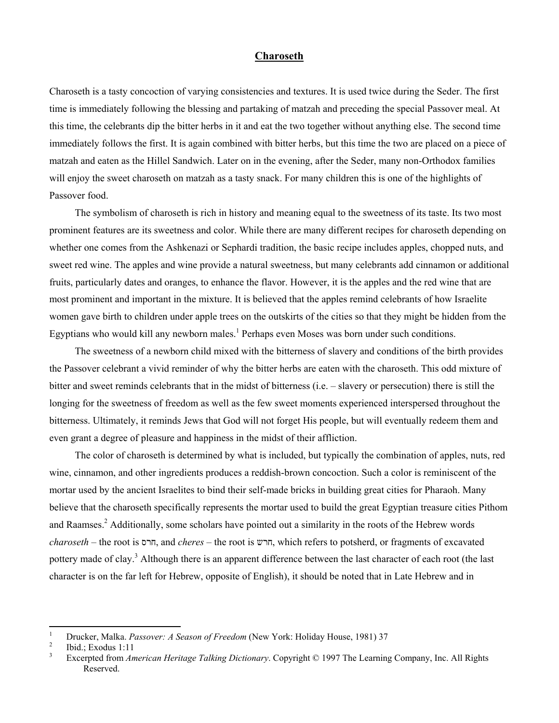## **Charoseth**

Charoseth is a tasty concoction of varying consistencies and textures. It is used twice during the Seder. The first time is immediately following the blessing and partaking of matzah and preceding the special Passover meal. At this time, the celebrants dip the bitter herbs in it and eat the two together without anything else. The second time immediately follows the first. It is again combined with bitter herbs, but this time the two are placed on a piece of matzah and eaten as the Hillel Sandwich. Later on in the evening, after the Seder, many non-Orthodox families will enjoy the sweet charoseth on matzah as a tasty snack. For many children this is one of the highlights of Passover food.

The symbolism of charoseth is rich in history and meaning equal to the sweetness of its taste. Its two most prominent features are its sweetness and color. While there are many different recipes for charoseth depending on whether one comes from the Ashkenazi or Sephardi tradition, the basic recipe includes apples, chopped nuts, and sweet red wine. The apples and wine provide a natural sweetness, but many celebrants add cinnamon or additional fruits, particularly dates and oranges, to enhance the flavor. However, it is the apples and the red wine that are most prominent and important in the mixture. It is believed that the apples remind celebrants of how Israelite women gave birth to children under apple trees on the outskirts of the cities so that they might be hidden from the Egyptians who would kill any newborn males.<sup>[1](#page-0-0)</sup> Perhaps even Moses was born under such conditions.

The sweetness of a newborn child mixed with the bitterness of slavery and conditions of the birth provides the Passover celebrant a vivid reminder of why the bitter herbs are eaten with the charoseth. This odd mixture of bitter and sweet reminds celebrants that in the midst of bitterness (i.e. – slavery or persecution) there is still the longing for the sweetness of freedom as well as the few sweet moments experienced interspersed throughout the bitterness. Ultimately, it reminds Jews that God will not forget His people, but will eventually redeem them and even grant a degree of pleasure and happiness in the midst of their affliction.

The color of charoseth is determined by what is included, but typically the combination of apples, nuts, red wine, cinnamon, and other ingredients produces a reddish-brown concoction. Such a color is reminiscent of the mortar used by the ancient Israelites to bind their self-made bricks in building great cities for Pharaoh. Many believe that the charoseth specifically represents the mortar used to build the great Egyptian treasure cities Pithom and Raamses.<sup>2</sup> [A](#page-0-1)dditionally, some scholars have pointed out a similarity in the roots of the Hebrew words *charoseth* – the root is , and חרס *cheres* – the root is חרש, which refers to potsherd, or fragments of excavated pottery made of cla[y.](#page-0-2)<sup>3</sup> Although there is an apparent difference between the last character of each root (the last character is on the far left for Hebrew, opposite of English), it should be noted that in Late Hebrew and in

 $\overline{a}$ 

<span id="page-0-0"></span><sup>1</sup> <sup>1</sup> Drucker, Malka. *Passover: A Season of Freedom* (New York: Holiday House, 1981) 37

<span id="page-0-1"></span>Ibid.; Exodus 1:11

<span id="page-0-2"></span><sup>3</sup> Excerpted from *American Heritage Talking Dictionary*. Copyright © 1997 The Learning Company, Inc. All Rights Reserved.